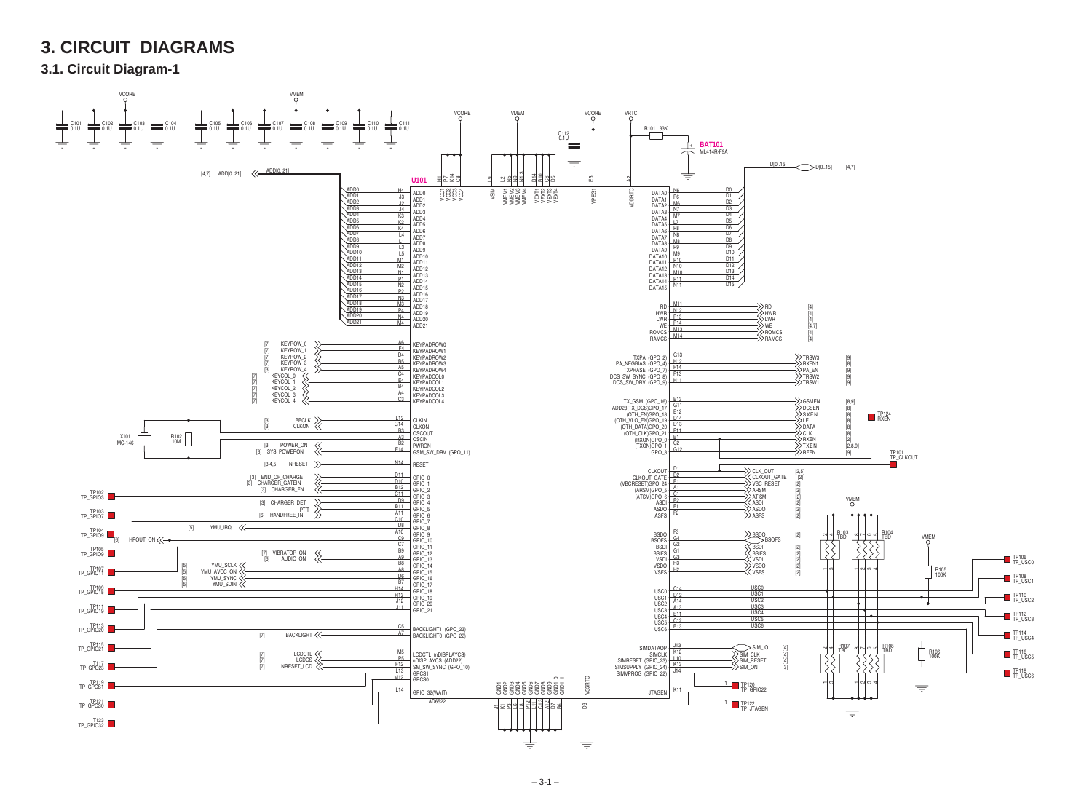

## **3. CIRCUIT DIAGRAMS**

**3.1. Circuit Diagram-1**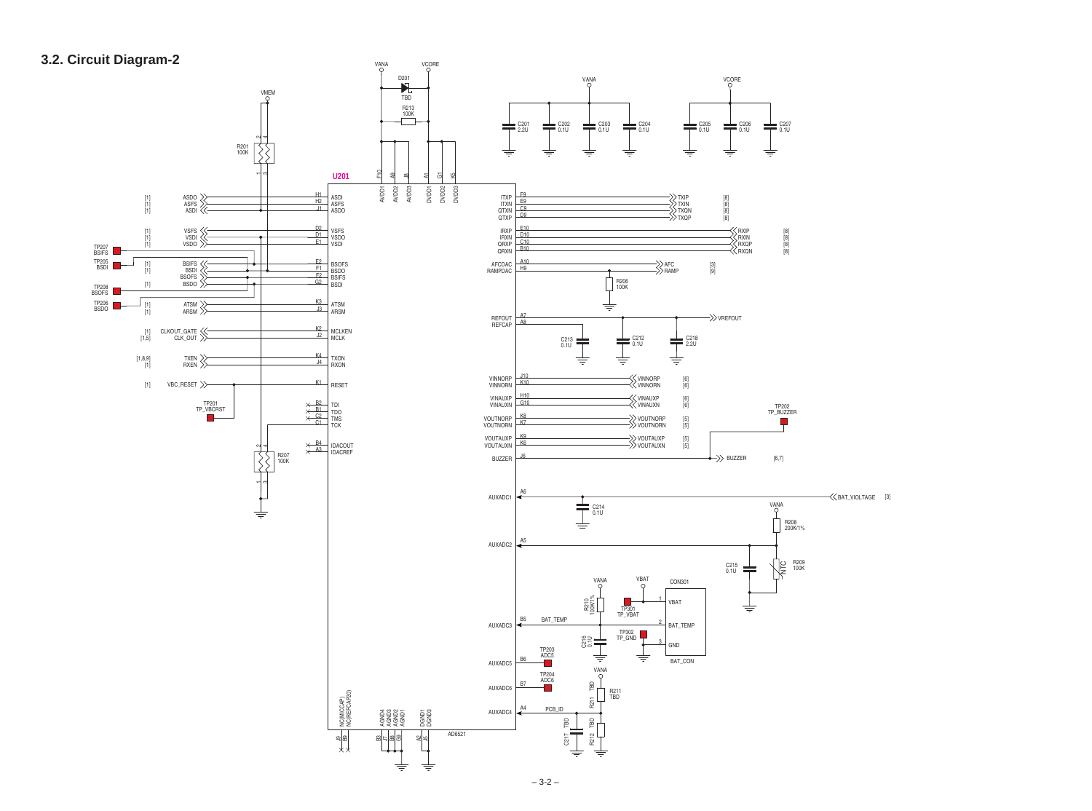

## **3.2. Circuit Diagram-2**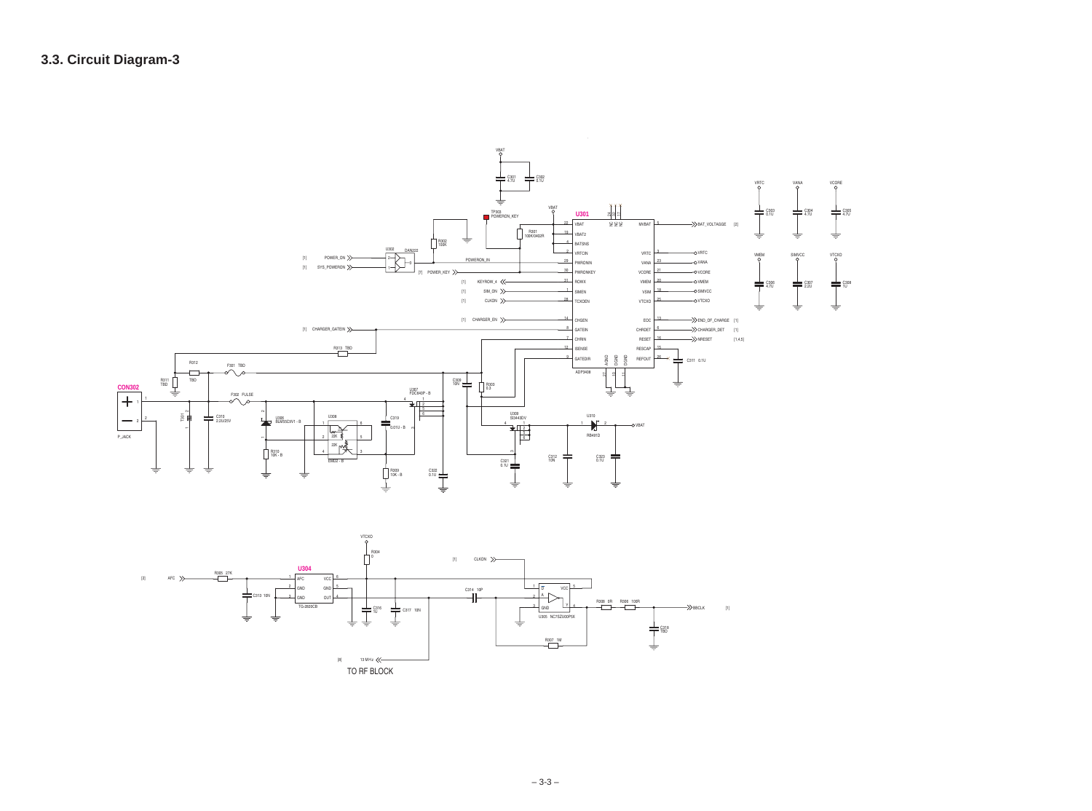

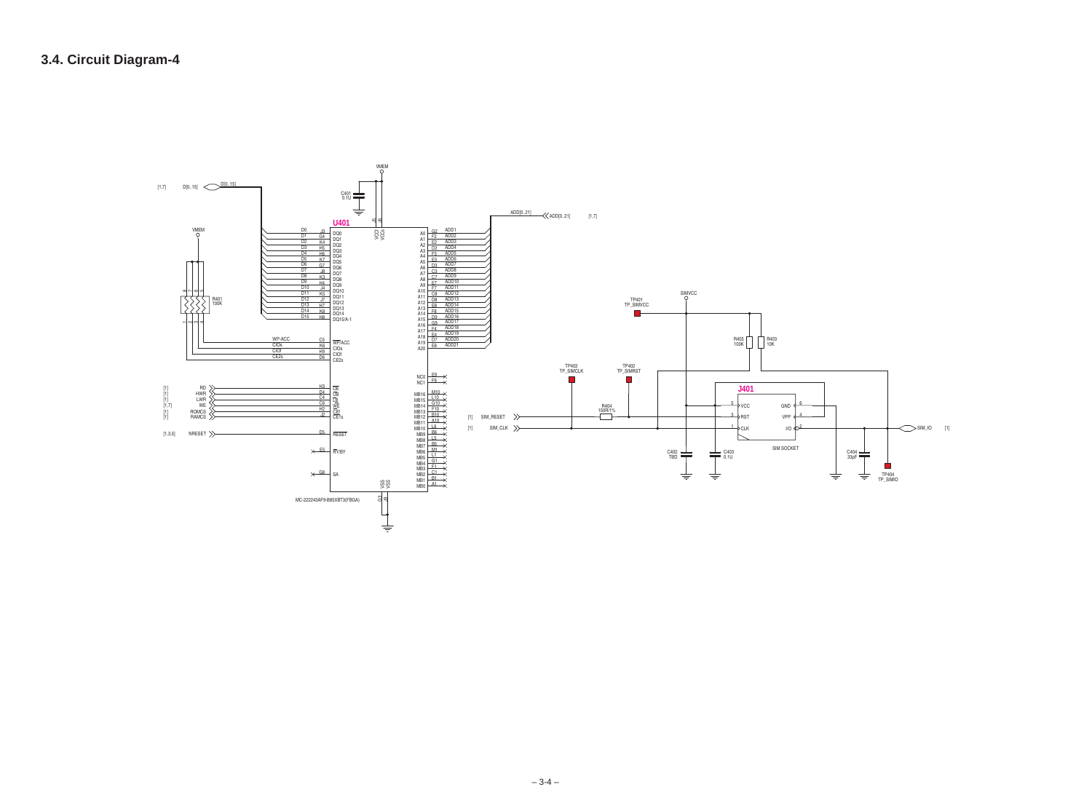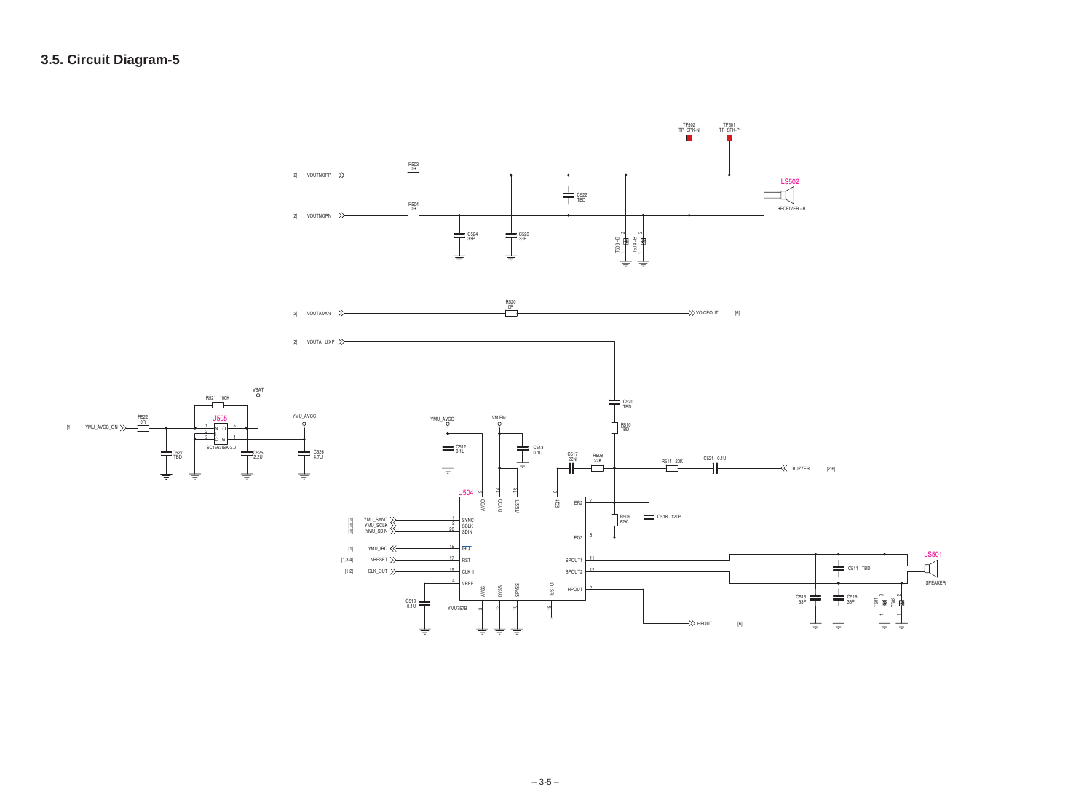

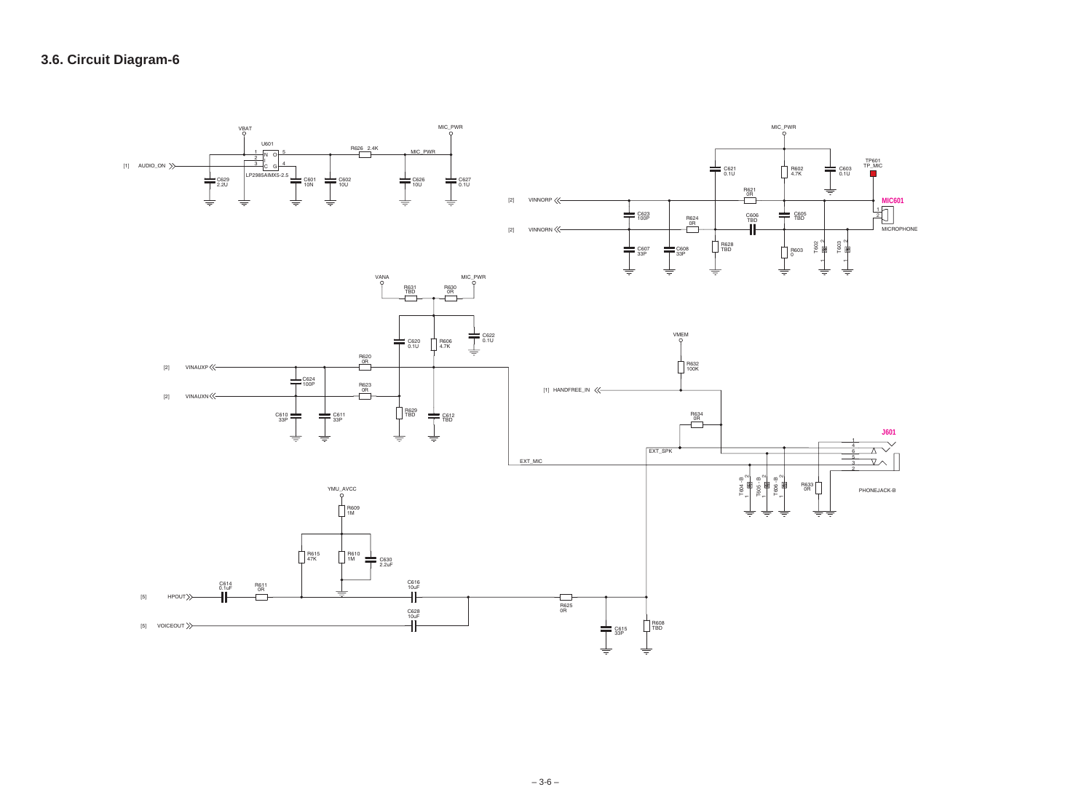

 $-3-6-$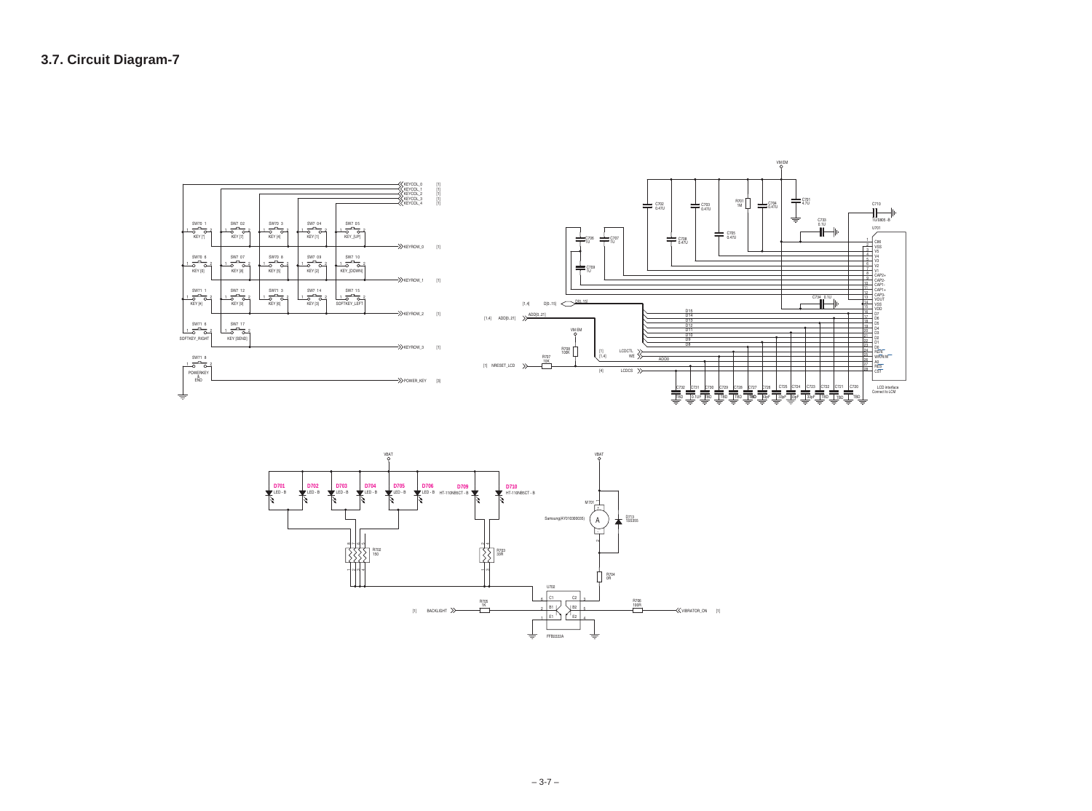

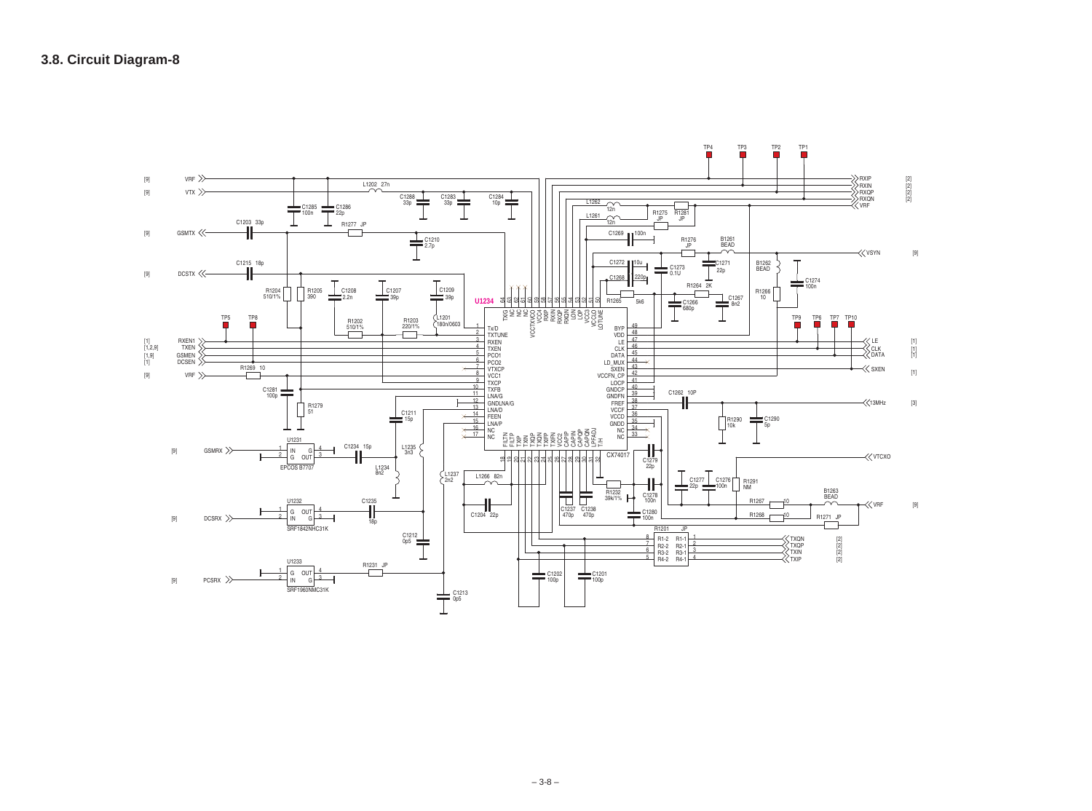| RXIP<br>RXIN<br><b>RXQP</b><br>RXQN<br><b>VRF</b> | $\begin{bmatrix} 2 \\ 2 \end{bmatrix}$<br>$[2]$<br>$[2]$ |
|---------------------------------------------------|----------------------------------------------------------|
| $\ll$ vsyn                                        | $[9]$                                                    |
| LE<br>、<br>CLK<br>、DATA<br>$\ll$ sxen             | $[1]$<br>$\begin{bmatrix} 1 \\ 1 \end{bmatrix}$<br>$[1]$ |
| $\ll$ 13MHz                                       | $[3]$                                                    |
| $\ll$ vtcxo                                       |                                                          |

[9]

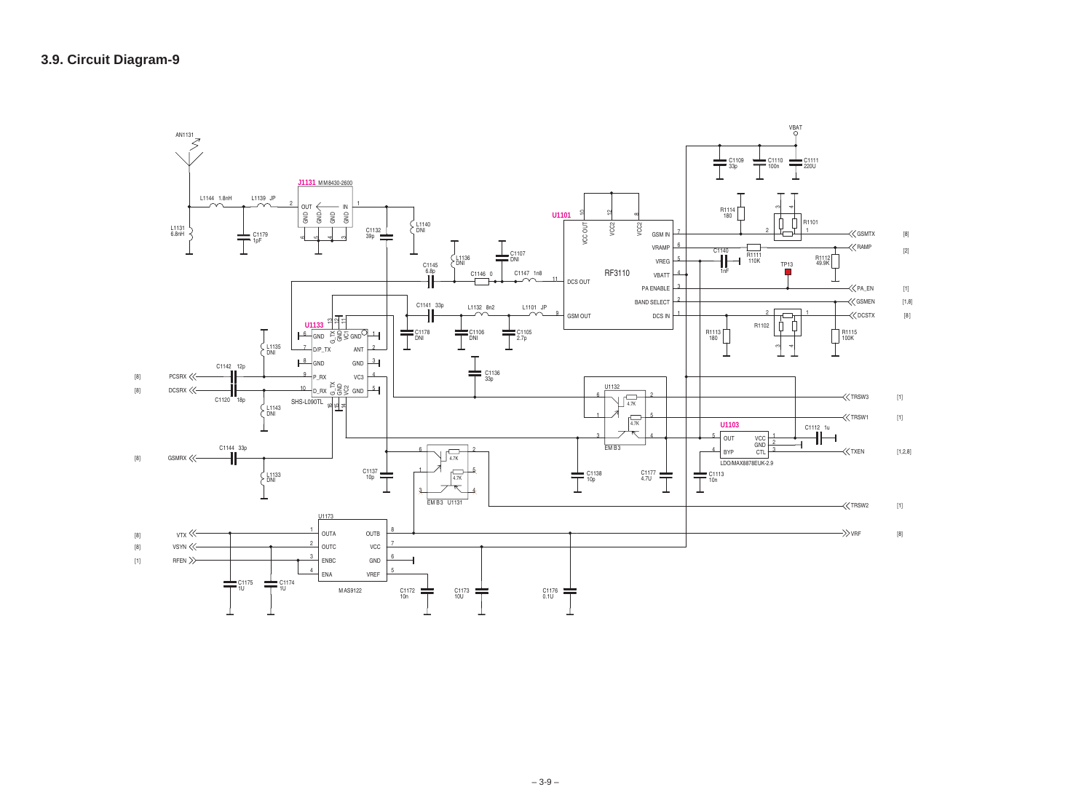

| <b>ATX</b> | [8]    |
|------------|--------|
| ΛP         | [2]    |
| EN         | [1]    |
| <b>AEN</b> | [1, 8] |
| <b>STX</b> | [8]    |
|            |        |

| ι3 | $[1]$ |
|----|-------|
| 1  | $[1]$ |
|    |       |

| $\overline{\phantom{a}}$ | $[1]$ |  |
|--------------------------|-------|--|